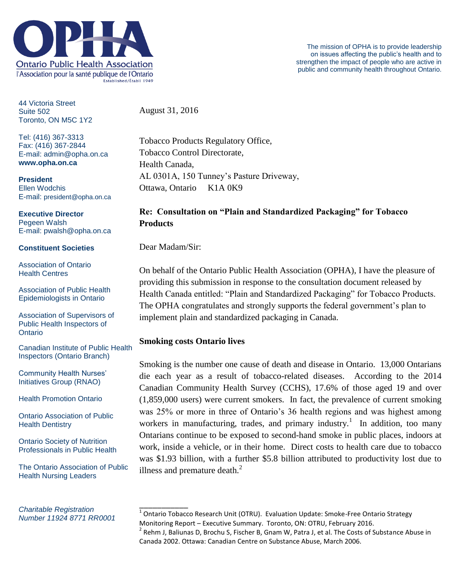

44 Victoria Street Suite 502 Toronto, ON M5C 1Y2

Tel: (416) 367-3313 Fax: (416) 367-2844 E-mail: admin@opha.on.ca **www.opha.on.ca**

**President** Ellen Wodchis E-mail: president@opha.on.ca

## **Executive Director** Pegeen Walsh E-mail: pwalsh@opha.on.ca

## **Constituent Societies**

Association of Ontario Health Centres

Association of Public Health Epidemiologists in Ontario

Association of Supervisors of Public Health Inspectors of **Ontario** 

Canadian Institute of Public Health Inspectors (Ontario Branch)

Community Health Nurses' Initiatives Group (RNAO)

Health Promotion Ontario

Ontario Association of Public Health Dentistry

Ontario Society of Nutrition Professionals in Public Health

The Ontario Association of Public Health Nursing Leaders

*Charitable Registration Number 11924 8771 RR0001* August 31, 2016

Tobacco Products Regulatory Office, Tobacco Control Directorate, Health Canada, AL 0301A, 150 Tunney's Pasture Driveway, Ottawa, Ontario K1A 0K9

## **Re: Consultation on "Plain and Standardized Packaging" for Tobacco Products**

Dear Madam/Sir:

On behalf of the Ontario Public Health Association (OPHA), I have the pleasure of providing this submission in response to the consultation document released by Health Canada entitled: "Plain and Standardized Packaging" for Tobacco Products. The OPHA congratulates and strongly supports the federal government's plan to implement plain and standardized packaging in Canada.

## **Smoking costs Ontario lives**

Smoking is the number one cause of death and disease in Ontario. 13,000 Ontarians die each year as a result of tobacco-related diseases. According to the 2014 Canadian Community Health Survey (CCHS), 17.6% of those aged 19 and over (1,859,000 users) were current smokers. In fact, the prevalence of current smoking was 25% or more in three of Ontario's 36 health regions and was highest among workers in manufacturing, trades, and primary industry.<sup>1</sup> In addition, too many Ontarians continue to be exposed to second-hand smoke in public places, indoors at work, inside a vehicle, or in their home. Direct costs to health care due to tobacco was \$1.93 billion, with a further \$5.8 billion attributed to productivity lost due to illness and premature death. $^{2}$ 

\_\_\_\_\_\_\_\_\_\_\_ <sup>1</sup> Ontario Tobacco Research Unit (OTRU). Evaluation Update: Smoke-Free Ontario Strategy Monitoring Report – Executive Summary. Toronto, ON: OTRU, February 2016.

 $^{2}$  Rehm J, Baliunas D, Brochu S, Fischer B, Gnam W, Patra J, et al. The Costs of Substance Abuse in Canada 2002. Ottawa: Canadian Centre on Substance Abuse, March 2006.